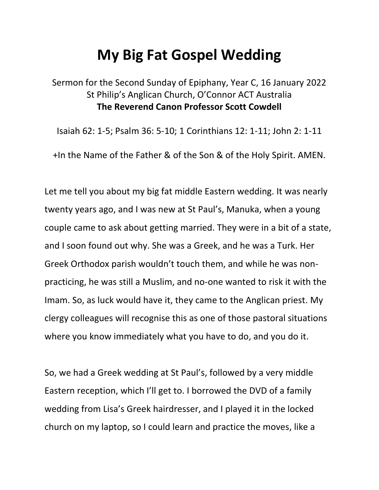## **My Big Fat Gospel Wedding**

Sermon for the Second Sunday of Epiphany, Year C, 16 January 2022 St Philip's Anglican Church, O'Connor ACT Australia **The Reverend Canon Professor Scott Cowdell**

Isaiah 62: 1-5; Psalm 36: 5-10; 1 Corinthians 12: 1-11; John 2: 1-11

+In the Name of the Father & of the Son & of the Holy Spirit. AMEN.

Let me tell you about my big fat middle Eastern wedding. It was nearly twenty years ago, and I was new at St Paul's, Manuka, when a young couple came to ask about getting married. They were in a bit of a state, and I soon found out why. She was a Greek, and he was a Turk. Her Greek Orthodox parish wouldn't touch them, and while he was nonpracticing, he was still a Muslim, and no-one wanted to risk it with the Imam. So, as luck would have it, they came to the Anglican priest. My clergy colleagues will recognise this as one of those pastoral situations where you know immediately what you have to do, and you do it.

So, we had a Greek wedding at St Paul's, followed by a very middle Eastern reception, which I'll get to. I borrowed the DVD of a family wedding from Lisa's Greek hairdresser, and I played it in the locked church on my laptop, so I could learn and practice the moves, like a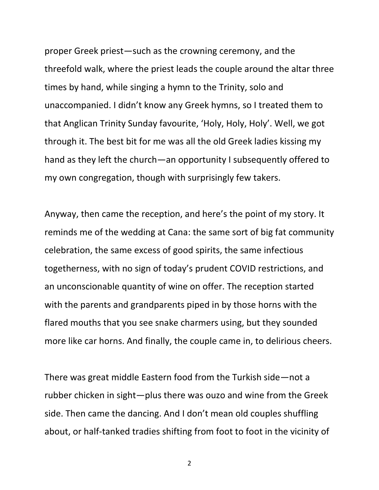proper Greek priest—such as the crowning ceremony, and the threefold walk, where the priest leads the couple around the altar three times by hand, while singing a hymn to the Trinity, solo and unaccompanied. I didn't know any Greek hymns, so I treated them to that Anglican Trinity Sunday favourite, 'Holy, Holy, Holy'. Well, we got through it. The best bit for me was all the old Greek ladies kissing my hand as they left the church—an opportunity I subsequently offered to my own congregation, though with surprisingly few takers.

Anyway, then came the reception, and here's the point of my story. It reminds me of the wedding at Cana: the same sort of big fat community celebration, the same excess of good spirits, the same infectious togetherness, with no sign of today's prudent COVID restrictions, and an unconscionable quantity of wine on offer. The reception started with the parents and grandparents piped in by those horns with the flared mouths that you see snake charmers using, but they sounded more like car horns. And finally, the couple came in, to delirious cheers.

There was great middle Eastern food from the Turkish side—not a rubber chicken in sight—plus there was ouzo and wine from the Greek side. Then came the dancing. And I don't mean old couples shuffling about, or half-tanked tradies shifting from foot to foot in the vicinity of

2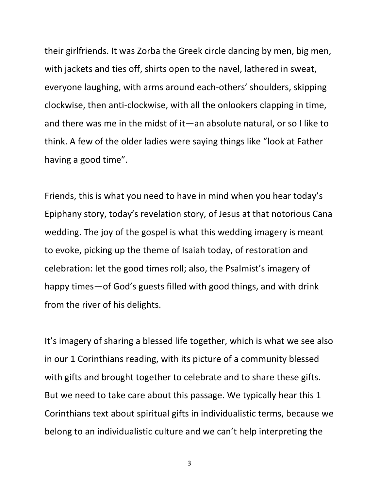their girlfriends. It was Zorba the Greek circle dancing by men, big men, with jackets and ties off, shirts open to the navel, lathered in sweat, everyone laughing, with arms around each-others' shoulders, skipping clockwise, then anti-clockwise, with all the onlookers clapping in time, and there was me in the midst of it—an absolute natural, or so I like to think. A few of the older ladies were saying things like "look at Father having a good time".

Friends, this is what you need to have in mind when you hear today's Epiphany story, today's revelation story, of Jesus at that notorious Cana wedding. The joy of the gospel is what this wedding imagery is meant to evoke, picking up the theme of Isaiah today, of restoration and celebration: let the good times roll; also, the Psalmist's imagery of happy times—of God's guests filled with good things, and with drink from the river of his delights.

It's imagery of sharing a blessed life together, which is what we see also in our 1 Corinthians reading, with its picture of a community blessed with gifts and brought together to celebrate and to share these gifts. But we need to take care about this passage. We typically hear this 1 Corinthians text about spiritual gifts in individualistic terms, because we belong to an individualistic culture and we can't help interpreting the

3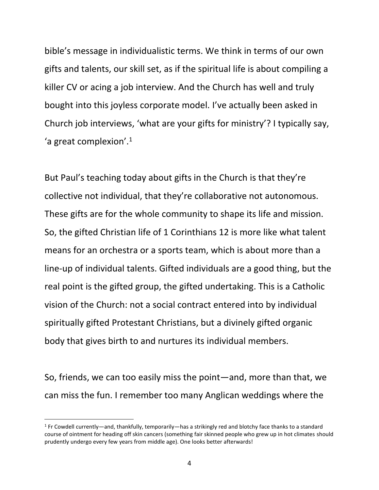bible's message in individualistic terms. We think in terms of our own gifts and talents, our skill set, as if the spiritual life is about compiling a killer CV or acing a job interview. And the Church has well and truly bought into this joyless corporate model. I've actually been asked in Church job interviews, 'what are your gifts for ministry'? I typically say, 'a great complexion'. $1$ 

But Paul's teaching today about gifts in the Church is that they're collective not individual, that they're collaborative not autonomous. These gifts are for the whole community to shape its life and mission. So, the gifted Christian life of 1 Corinthians 12 is more like what talent means for an orchestra or a sports team, which is about more than a line-up of individual talents. Gifted individuals are a good thing, but the real point is the gifted group, the gifted undertaking. This is a Catholic vision of the Church: not a social contract entered into by individual spiritually gifted Protestant Christians, but a divinely gifted organic body that gives birth to and nurtures its individual members.

So, friends, we can too easily miss the point—and, more than that, we can miss the fun. I remember too many Anglican weddings where the

<sup>1</sup> Fr Cowdell currently—and, thankfully, temporarily—has a strikingly red and blotchy face thanks to a standard course of ointment for heading off skin cancers (something fair skinned people who grew up in hot climates should prudently undergo every few years from middle age). One looks better afterwards!